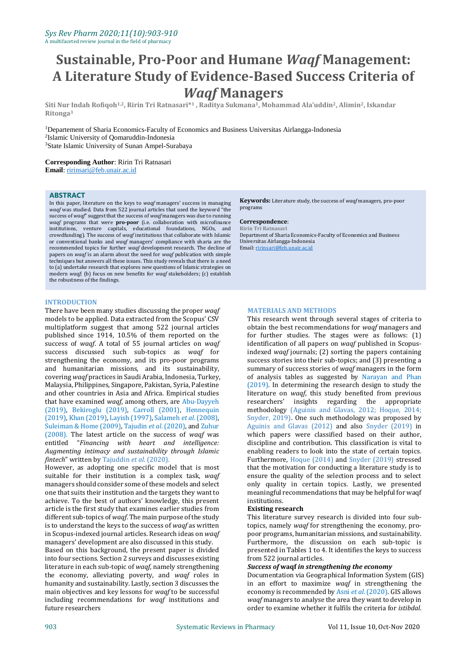# **Sustainable, Pro-Poor and Humane** *Waqf* **Management: A Literature Study of Evidence-Based Success Criteria of**  *Waqf* **Managers**

**Siti Nur Indah Rofiqoh1,2, Ririn Tri Ratnasari\* <sup>1</sup> , Raditya Sukmana1, Mohammad Ala'uddin2, Alimin2, Iskandar Ritonga<sup>3</sup>**

<sup>1</sup>Departement of Sharia Economics-Faculty of Economics and Business Universitas Airlangga-Indonesia 2 Islamic University of Qomaruddin-Indonesia <sup>3</sup>State Islamic University of Sunan Ampel-Surabaya

**Corresponding Author**: Ririn Tri Ratnasari **Email**[: ririnsari@feb.unair.ac.id](mailto:ririnsari@feb.unair.ac.id)

#### **ABSTRACT**

In this paper, literature on the keys to *waqf* managers' success in managing *waqf* was studied. Data from 522 journal articles that used the keyword "the success of *waqf*" suggest that the success of *waqf* managers was due to running *waqf* programs that were **pro-poor** (i.e. collaboration with microfinance institutions, venture capitals, educational foundations, NGOs, and crowdfunding). The success of *waqf* institutions that collaborate with Islamic or conventional banks and *waqf* managers' compliance with sharia are the recommended topics for further *waqf* development research. The decline of papers on *waqf* is an alarm about the need for *waqf* publication with simple techniques but answers all these issues. This study reveals that there is a need to (a) undertake research that explores new questions of Islamic strategies on modern *waqf*; (b) focus on new benefits for *waqf* stakeholders; (c) establish the robustness of the findings.

#### **INTRODUCTION**

There have been many studies discussing the proper *waqf* models to be applied. Data extracted from the Scopus' CSV multiplatform suggest that among 522 journal articles published since 1914, 10.5% of them reported on the success of *waqf*. A total of 55 journal articles on *waqf* success discussed such sub-topics as *waqf* for strengthening the economy, and its pro-poor programs and humanitarian missions, and its sustainability, covering *waqf* practices in Saudi Arabia, Indonesia, Turkey, Malaysia, Philippines, Singapore, Pakistan, Syria, Palestine and other countries in Asia and Africa. Empirical studies that have examined *waqf*, among others, are Abu-Dayyeh (2019), Bekiroglu (2019), Carroll (2001), Hennequin (2019), Khan (2019), Layish (1997), Salameh *et al*. (2008), Suleiman & Home (2009), Tajudin *et al*. (2020), and Zuhur (2008). The latest article on the success of *waqf* was entitled "*Financing with heart and intelligence: Augmenting intimacy and sustainability through Islamic fintech*" written by Tajuddin *et al*. (2020).

However, as adopting one specific model that is most suitable for their institution is a complex task, *waqf* managers should consider some of these models and select one that suits their institution and the targets they want to achieve. To the best of authors' knowledge, this present article is the first study that examines earlier studies from different sub-topics of *waqf*. The main purpose of the study is to understand the keys to the success of *waqf* as written in Scopus-indexed journal articles. Research ideas on *waqf* managers' development are also discussed in this study.

Based on this background, the present paper is divided into four sections. Section 2 surveys and discusses existing literature in each sub-topic of *waqf*, namely strengthening the economy, alleviating poverty, and *waqf* roles in humanity and sustainability. Lastly, section 3 discusses the main objectives and key lessons for *waqf* to be successful including recommendations for *waqf* institutions and future researchers

**Keywords:** Literature study, the success of *waqf* managers, pro-poor programs

#### **Correspondence**:

**Ririn Tri Ratnasari** Department of Sharia Economics-Faculty of Economics and Business Universitas Airlangga-Indonesia Email[: ririnsari@feb.unair.ac.id](mailto:ririnsari@feb.unair.ac.id)

#### **MATERIALS AND METHODS**

This research went through several stages of criteria to obtain the best recommendations for *waqf* managers and for further studies. The stages were as follows: (1) identification of all papers on *waqf* published in Scopusindexed *waqf* journals; (2) sorting the papers containing success stories into their sub-topics; and (3) presenting a summary of success stories of *waqf* managers in the form of analysis tables as suggested by Narayan and Phan (2019). In determining the research design to study the literature on *waqf*, this study benefited from previous researchers' insights regarding the appropriate methodology (Aguinis and Glavas, 2012; Hoque, 2014; Snyder, 2019). One such methodology was proposed by Aguinis and Glavas (2012) and also Snyder (2019) in which papers were classified based on their author, discipline and contribution. This classification is vital to enabling readers to look into the state of certain topics. Furthermore, Hoque (2014) and Snyder (2019) stressed that the motivation for conducting a literature study is to ensure the quality of the selection process and to select only quality in certain topics. Lastly, we presented meaningful recommendations that may be helpful for waqf institutions.

#### **Existing research**

This literature survey research is divided into four subtopics, namely *waqf* for strengthening the economy, propoor programs, humanitarian missions, and sustainability. Furthermore, the discussion on each sub-topic is presented in Tables 1 to 4. It identifies the keys to success from 522 journal articles.

#### *Success of* **waqf** *in strengthening the economy*

Documentation via Geographical Information System (GIS) in an effort to maximize *waqf* in strengthening the economy is recommended by Asni *et al*. (2020). GIS allows *waqf* managers to analyse the area they want to develop in order to examine whether it fulfils the criteria for *istibdal*.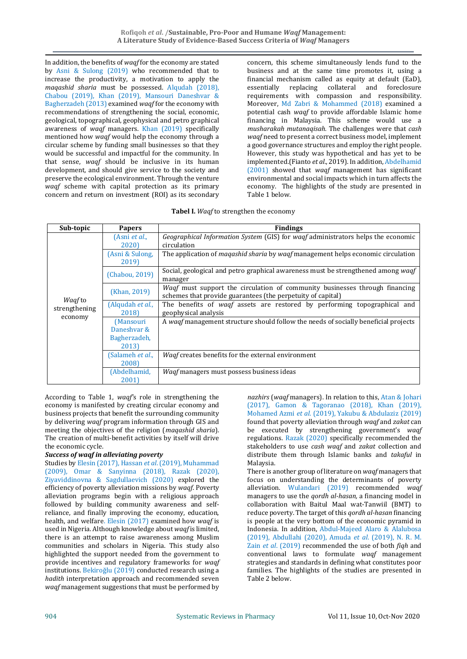In addition, the benefits of *waqf* for the economy are stated by Asni & Sulong (2019) who recommended that to increase the productivity, a motivation to apply the *maqashid sharia* must be possessed. Alqudah (2018), Chabou (2019), Khan (2019), Mansouri Daneshvar & Bagherzadeh (2013) examined *waqf* for the economy with recommendations of strengthening the social, economic, geological, topographical, geophysical and petro graphical awareness of *waqf* managers. Khan (2019) specifically mentioned how *waqf* would help the economy through a circular scheme by funding small businesses so that they would be successful and impactful for the community. In that sense, *waqf* should be inclusive in its human development, and should give service to the society and preserve the ecological environment. Through the venture *waqf* scheme with capital protection as its primary concern and return on investment (ROI) as its secondary concern, this scheme simultaneously lends fund to the business and at the same time promotes it, using a financial mechanism called as equity at default (EaD), essentially replacing collateral and foreclosure requirements with compassion and responsibility. Moreover, Md Zabri & Mohammed (2018) examined a potential cash *waqf* to provide affordable Islamic home financing in Malaysia. This scheme would use a *musharakah mutanaqisah.* The challenges were that *cash waqf* need to present a correct business model, implement a good governance structures and employ the right people. However, this study was hypothetical and has yet to be implemented.(Fianto *et al*., 2019). In addition, Abdelhamid (2001) showed that *waqf* management has significant environmental and social impacts which in turn affects the economy. The highlights of the study are presented in Table 1 below.

|  |  |  | Tabel I. Waqf to strengthen the economy |  |  |
|--|--|--|-----------------------------------------|--|--|
|--|--|--|-----------------------------------------|--|--|

| Sub-topic                       |                          | <b>Findings</b>                                                                                |
|---------------------------------|--------------------------|------------------------------------------------------------------------------------------------|
|                                 | <b>Papers</b>            |                                                                                                |
|                                 | (Asni et al.,            | Geographical Information System (GIS) for wagf administrators helps the economic               |
|                                 | 2020)                    | circulation                                                                                    |
|                                 | (Asni & Sulong,          | The application of <i>magashid sharia</i> by <i>waqf</i> management helps economic circulation |
|                                 | 2019)                    |                                                                                                |
|                                 |                          | Social, geological and petro graphical awareness must be strengthened among waqf               |
|                                 | (Chabou, 2019)           | manager                                                                                        |
|                                 |                          | <i>Waqf</i> must support the circulation of community businesses through financing             |
|                                 | (Khan, 2019)             | schemes that provide guarantees (the perpetuity of capital)                                    |
| <i>Wagf</i> to<br>strengthening | (Alqudah <i>et al.</i> , | The benefits of <i>waqf</i> assets are restored by performing topographical and                |
|                                 | 2018)                    | geophysical analysis                                                                           |
| economy                         | (Mansouri                | A waaf management structure should follow the needs of socially beneficial projects            |
|                                 | Daneshvar &              |                                                                                                |
|                                 | Bagherzadeh,             |                                                                                                |
|                                 | 2013)                    |                                                                                                |
|                                 | (Salameh et al.,         | Waqf creates benefits for the external environment                                             |
|                                 | 2008)                    |                                                                                                |
|                                 | (Abdelhamid,             | <i>Waqf</i> managers must possess business ideas                                               |
|                                 | 2001                     |                                                                                                |

According to Table 1, *waqf'*s role in strengthening the economy is manifested by creating circular economy and business projects that benefit the surrounding community by delivering *waqf* program information through GIS and meeting the objectives of the religion (*maqashid sharia*). The creation of multi-benefit activities by itself will drive the economic cycle.

# *Success of waqf in alleviating poverty*

Studies by Elesin (2017), Hassan *et al*.(2019), Muhammad (2009), Omar & Sanyinna (2018), Razak (2020), Ziyaviddinovna & Sagdullaevich (2020) explored the efficiency of poverty alleviation missions by *waqf*. Poverty alleviation programs begin with a religious approach followed by building community awareness and selfreliance, and finally improving the economy, education, health, and welfare. Elesin (2017) examined how *waqf* is used in Nigeria. Although knowledge about *waqf* is limited, there is an attempt to raise awareness among Muslim communities and scholars in Nigeria. This study also highlighted the support needed from the government to provide incentives and regulatory frameworks for *waqf*  institutions. Bekiroğlu (2019) conducted research using a *hadith* interpretation approach and recommended seven *waqf* management suggestions that must be performed by

*nazhirs* (*waqf* managers). In relation to this, Atan & Johari (2017), Gamon & Tagoranao (2018), Khan (2019), Mohamed Azmi *et al*. (2019), Yakubu & Abdulaziz (2019) found that poverty alleviation through *waqf* and *zakat* can be executed by strengthening government's *waqf* regulations. Razak (2020) specifically recommended the stakeholders to use *cash waqf* and *zakat* collection and distribute them through Islamic banks and *takaful* in Malaysia.

There is another group of literature on *waqf* managers that focus on understanding the determinants of poverty alleviation. Wulandari (2019) recommended *waqf* managers to use the *qordh al-hasan,* a financing model in collaboration with Baitul Maal wat-Tanwiil (BMT) to reduce poverty. The target of this *qordh al-hasan* financing is people at the very bottom of the economic pyramid in Indonesia. In addition, Abdul-Majeed Alaro & Alalubosa (2019), Abdullahi (2020), Amuda *et al*. (2019), N. R. M. Zain *et al*. (2019) recommended the use of both *fiqh* and conventional laws to formulate *waqf* management strategies and standards in defining what constitutes poor families. The highlights of the studies are presented in Table 2 below.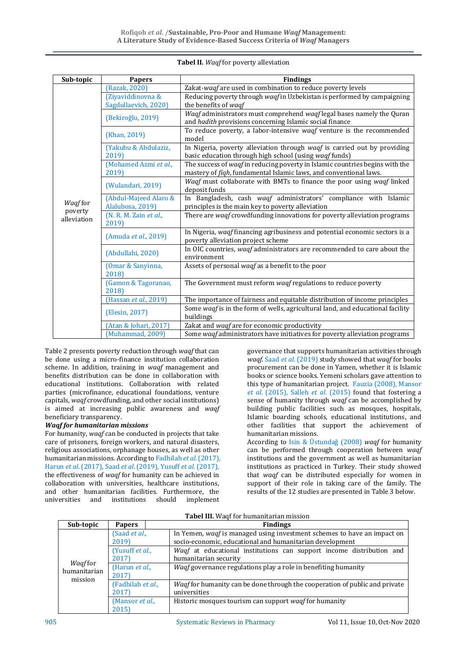| Sub-topic      | <b>Papers</b>          | <b>Findings</b>                                                                |  |
|----------------|------------------------|--------------------------------------------------------------------------------|--|
|                | (Razak, 2020)          | Zakat-waqf are used in combination to reduce poverty levels                    |  |
|                | (Ziyaviddinovna &      | Reducing poverty through waqf in Uzbekistan is performed by campaigning        |  |
|                | Sagdullaevich, 2020)   | the benefits of waqf                                                           |  |
|                | (Bekiroğlu, 2019)      | Waqf administrators must comprehend waqf legal bases namely the Quran          |  |
|                |                        | and hadith provisions concerning Islamic social finance                        |  |
|                | (Khan, 2019)           | To reduce poverty, a labor-intensive wagf venture is the recommended           |  |
|                |                        | model                                                                          |  |
|                | (Yakubu & Abdulaziz,   | In Nigeria, poverty alleviation through waqf is carried out by providing       |  |
|                | 2019)                  | basic education through high school (using waqf funds)                         |  |
|                | (Mohamed Azmi et al.,  | The success of waqf in reducing poverty in Islamic countries begins with the   |  |
|                | 2019)                  | mastery of fiqh, fundamental Islamic laws, and conventional laws.              |  |
|                | (Wulandari, 2019)      | Waqf must collaborate with BMTs to finance the poor using waqf linked          |  |
|                |                        | deposit funds                                                                  |  |
| <b>Wagffor</b> | (Abdul-Majeed Alaro &  | In Bangladesh, cash waqf administrators' compliance with Islamic               |  |
| poverty        | Alalubosa, 2019)       | principles is the main key to poverty alleviation                              |  |
| alleviation    | (N. R. M. Zain et al., | There are waqf crowdfunding innovations for poverty alleviation programs       |  |
|                | 2019)                  |                                                                                |  |
|                | (Amuda et al., 2019)   | In Nigeria, waqf financing agribusiness and potential economic sectors is a    |  |
|                |                        | poverty alleviation project scheme                                             |  |
|                | (Abdullahi, 2020)      | In OIC countries, waqf administrators are recommended to care about the        |  |
|                |                        | environment                                                                    |  |
|                | (Omar & Sanyinna,      | Assets of personal waqf as a benefit to the poor                               |  |
|                | 2018)                  |                                                                                |  |
|                | (Gamon & Tagoranao,    | The Government must reform waqf regulations to reduce poverty                  |  |
|                | 2018)                  |                                                                                |  |
|                | (Hassan et al., 2019)  | The importance of fairness and equitable distribution of income principles     |  |
|                | (Elesin, 2017)         | Some waqf is in the form of wells, agricultural land, and educational facility |  |
|                |                        | buildings                                                                      |  |
|                | (Atan & Johari, 2017)  | Zakat and waqf are for economic productivity                                   |  |
|                | (Muhammad, 2009)       | Some waqf administrators have initiatives for poverty alleviation programs     |  |

# **Tabel II.** *Waqf* for poverty alleviation

Table 2 presents poverty reduction through *waqf* that can be done using a micro-finance institution collaboration scheme. In addition, training in *waqf* management and benefits distribution can be done in collaboration with educational institutions. Collaboration with related parties (microfinance, educational foundations, venture capitals, *waqf* crowdfunding, and other social institutions) is aimed at increasing public awareness and *waqf* beneficiary transparency.

### *Waqf for humanitarian missions*

For humanity, *waqf* can be conducted in projects that take care of prisoners, foreign workers, and natural disasters, religious associations, orphanage houses, as well as other humanitarian missions. According to Fadhilah *et al*.(2017), Harun *et al*. (2017), Saad *et al*. (2019), Yusuff *et al*. (2017), the effectiveness of *waqf* for humanity can be achieved in collaboration with universities, healthcare institutions, and other humanitarian facilities. Furthermore, the universities and institutions should implement

governance that supports humanitarian activities through *waqf*. Saad *et al*. (2019) study showed that *waqf* for books procurement can be done in Yamen, whether it is Islamic books or science books. Yemeni scholars gave attention to this type of humanitarian project. Fauzia (2008), Mansor *et al*. (2015), Salleh *et al*. (2015) found that fostering a sense of humanity through *waqf* can be accomplished by building public facilities such as mosques, hospitals, Islamic boarding schools, educational institutions, and other facilities that support the achievement of humanitarian missions. According to Isin & Üstundaǧ (2008) *waqf* for humanity can be performed through cooperation between *waqf*

institutions and the government as well as humanitarian institutions as practiced in Turkey. Their study showed that *waqf* can be distributed especially for women in support of their role in taking care of the family. The results of the 12 studies are presented in Table 3 below.

| Sub-topic                                 | <b>Papers</b>                    | <b>Findings</b>                                                                                                                     |
|-------------------------------------------|----------------------------------|-------------------------------------------------------------------------------------------------------------------------------------|
| <i>Wagffor</i><br>humanitarian<br>mission | (Saad <i>et al.</i> ,<br>2019)   | In Yemen, waqf is managed using investment schemes to have an impact on<br>socio-economic, educational and humanitarian development |
|                                           | (Yusuff et al.,<br>2017)         | Waqf at educational institutions can support income distribution and<br>humanitarian security                                       |
|                                           | (Harun et al.,<br>2017)          | <i>Waqf</i> governance regulations play a role in benefiting humanity                                                               |
|                                           | (Fadhilah et al.,<br>2017)       | <i>Wagf</i> for humanity can be done through the cooperation of public and private<br>universities                                  |
|                                           | (Mansor <i>et al.</i> ,<br>2015) | Historic mosques tourism can support <i>wagf</i> for humanity                                                                       |

### **Tabel III.** Waqf for humanitarian mission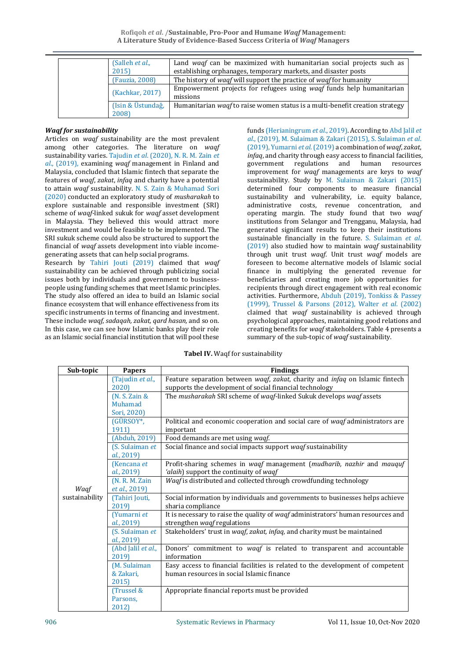**Rofiqoh** *et al***. /Sustainable, Pro-Poor and Humane** *Waqf* **Management: A Literature Study of Evidence-Based Success Criteria of** *Waqf* **Managers**

| (Salleh <i>et al.</i> , | Land waqf can be maximized with humanitarian social projects such as                |  |
|-------------------------|-------------------------------------------------------------------------------------|--|
| 2015                    | establishing orphanages, temporary markets, and disaster posts                      |  |
| (Fauzia, 2008)          | The history of <i>waqf</i> will support the practice of <i>waqf</i> for humanity    |  |
| (Kachkar, 2017)         | Empowerment projects for refugees using waaf funds help humanitarian                |  |
|                         | missions                                                                            |  |
| (Isin & Üstundağ,       | Humanitarian <i>waqf</i> to raise women status is a multi-benefit creation strategy |  |
| 2008)                   |                                                                                     |  |

## *Waqf for sustainability*

Articles on *waqf* sustainability are the most prevalent among other categories. The literature on *waqf* sustainability varies. Tajudin *et al*. (2020), N. R. M. Zain *et al*., (2019), examining *waqf* management in Finland and Malaysia, concluded that Islamic fintech that separate the features of *waqf*, *zakat*, *infaq* and charity have a potential to attain *waqf* sustainability. N. S. Zain & Muhamad Sori (2020) conducted an exploratory study of *musharakah* to explore sustainable and responsible investment (SRI) scheme of *waqf-*linked sukuk for *waqf* asset development in Malaysia. They believed this would attract more investment and would be feasible to be implemented. The SRI sukuk scheme could also be structured to support the financial of *waqf* assets development into viable incomegenerating assets that can help social programs.

Research by Tahiri Jouti (2019) claimed that *waqf* sustainability can be achieved through publicizing social issues both by individuals and government to businesspeople using funding schemes that meet Islamic principles. The study also offered an idea to build an Islamic social finance ecosystem that will enhance effectiveness from its specific instruments in terms of financing and investment. These include *waqf*, *sadaqah, zakat, qard hasan,* and so on. In this case, we can see how Islamic banks play their role as an Islamic social financial institution that will pool these

funds (Herianingrum *et al*., 2019). According to Abd Jalil *et al*., (2019), M. Sulaiman & Zakari (2015), S. Sulaiman *et al*. (2019), Yumarni *et al*. (2019) a combination of *waqf*, *zakat*, *infaq*, and charity through easy access to financial facilities, government regulations and human resources improvement for *waqf* managements are keys to *waqf* sustainability. Study by M. Sulaiman & Zakari (2015) determined four components to measure financial sustainability and vulnerability, i.e. equity balance, administrative costs, revenue concentration, and operating margin. The study found that two *waqf*  institutions from Selangor and Trengganu, Malaysia, had generated significant results to keep their institutions sustainable financially in the future. S. Sulaiman *et al*. (2019) also studied how to maintain *waqf* sustainability through unit trust *waqf*. Unit trust *waqf* models are foreseen to become alternative models of Islamic social finance in multiplying the generated revenue for beneficiaries and creating more job opportunities for recipients through direct engagement with real economic activities. Furthermore, Abduh (2019), Tonkiss & Passey (1999), Trussel & Parsons (2012), Walter *et al*. (2002) claimed that *waqf* sustainability is achieved through psychological approaches, maintaining good relations and creating benefits for *waqf* stakeholders. Table 4 presents a summary of the sub-topic of *waqf* sustainability.

**Tabel IV.** Waqf for sustainability

| Sub-topic      | <b>Papers</b>         | <b>Findings</b>                                                                  |
|----------------|-----------------------|----------------------------------------------------------------------------------|
|                | (Tajudin et al.,      | Feature separation between waqf, zakat, charity and infaq on Islamic fintech     |
|                | 2020)                 | supports the development of social financial technology                          |
|                | $(N. S. Zain \&$      | The musharakah SRI scheme of waqf-linked Sukuk develops waqf assets              |
|                | Muhamad               |                                                                                  |
|                | Sori, 2020)           |                                                                                  |
|                | (GÜRSOY*,             | Political and economic cooperation and social care of waqf administrators are    |
|                | 1911)                 | important                                                                        |
|                | (Abduh, 2019)         | Food demands are met using waqf.                                                 |
|                | (S. Sulaiman et       | Social finance and social impacts support waqf sustainability                    |
|                | al., 2019)            |                                                                                  |
|                | (Kencana et           | Profit-sharing schemes in waqf management (mudharib, nazhir and mauquf           |
|                | al., 2019)            | 'alaih) support the continuity of waqf                                           |
|                | (N. R. M. Zain        | Waqf is distributed and collected through crowdfunding technology                |
| Waqf           | <i>et al.</i> , 2019) |                                                                                  |
| sustainability | (Tahiri Jouti,        | Social information by individuals and governments to businesses helps achieve    |
|                | 2019)                 | sharia compliance                                                                |
|                | (Yumarni et           | It is necessary to raise the quality of waqf administrators' human resources and |
|                | al., 2019)            | strengthen waqf regulations                                                      |
|                | (S. Sulaiman et       | Stakeholders' trust in waqf, zakat, infaq, and charity must be maintained        |
|                | al., 2019)            |                                                                                  |
|                | (Abd Jalil et al.,    | Donors' commitment to <i>wagf</i> is related to transparent and accountable      |
|                | 2019)                 | information                                                                      |
|                | (M. Sulaiman          | Easy access to financial facilities is related to the development of competent   |
|                | & Zakari,             | human resources in social Islamic finance                                        |
|                | 2015)                 |                                                                                  |
|                | (Trussel &            | Appropriate financial reports must be provided                                   |
|                | Parsons,              |                                                                                  |
|                | 2012)                 |                                                                                  |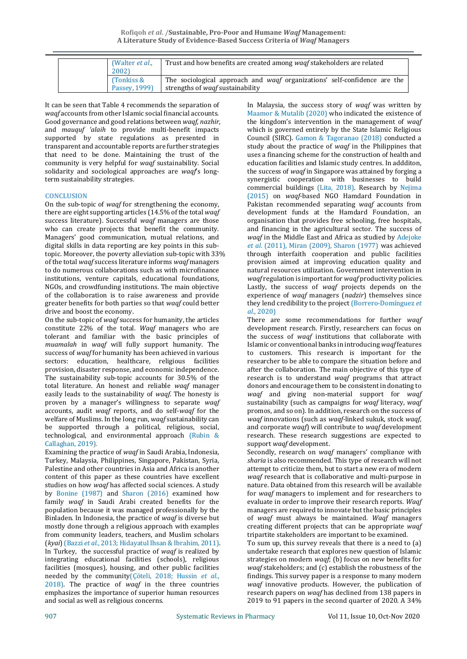| (Walter <i>et al.</i> ,<br>2002) | Trust and how benefits are created among <i>waqf</i> stakeholders are related    |
|----------------------------------|----------------------------------------------------------------------------------|
| (Tonkiss &                       | The sociological approach and <i>wagf</i> organizations' self-confidence are the |
| Passey, 1999)                    | strengths of <i>waqf</i> sustainability                                          |

It can be seen that Table 4 recommends the separation of *waqf* accounts from other Islamic social financial accounts. Good governance and good relations between *waqf*, *nazhir*, and *mauquf 'alaih* to provide multi-benefit impacts supported by state regulations as presented in transparent and accountable reports are further strategies that need to be done. Maintaining the trust of the community is very helpful for *waqf* sustainability. Social solidarity and sociological approaches are *waqf*'s longterm sustainability strategies.

## **CONCLUSION**

On the sub-topic of *waqf* for strengthening the economy, there are eight supporting articles (14.5% of the total *waqf* success literature). Successful *waqf* managers are those who can create projects that benefit the community. Managers' good communication, mutual relations, and digital skills in data reporting are key points in this subtopic. Moreover, the poverty alleviation sub-topic with 33% of the total *waqf* success literature informs *waqf* managers to do numerous collaborations such as with microfinance institutions, venture capitals, educational foundations, NGOs, and crowdfunding institutions. The main objective of the collaboration is to raise awareness and provide greater benefits for both parties so that *waqf* could better drive and boost the economy.

On the sub-topic of *waqf* success for humanity, the articles constitute 22% of the total. *Waqf* managers who are tolerant and familiar with the basic principles of *muamalah* in *waqf* will fully support humanity. The success of *waqf* for humanity has been achieved in various sectors: education, healthcare, religious facilities provision, disaster response, and economic independence. The sustainability sub-topic accounts for 30.5% of the total literature. An honest and reliable *waqf* manager easily leads to the sustainability of *waqf*. The honesty is proven by a manager's willingness to separate *waqf* accounts, audit *waqf* reports, and do self-*waqf* for the welfare of Muslims. In the long run, *waqf* sustainability can be supported through a political, religious, social, technological, and environmental approach (Rubin & Callaghan, 2019).

Examining the practice of *waqf* in Saudi Arabia, Indonesia, Turkey, Malaysia, Philippines, Singapore, Pakistan, Syria, Palestine and other countries in Asia and Africa is another content of this paper as these countries have excellent studies on how *waqf* has affected social sciences. A study by Bonine (1987) and Sharon (2016) examined how family *waqf* in Saudi Arabi created benefits for the population because it was managed professionally by the Binladen. In Indonesia, the practice of *waqf* is diverse but mostly done through a religious approach with examples from community leaders, teachers, and Muslim scholars (*kyai*) (Bazzi *et al*., 2013; Hidayatul Ihsan & Ibrahim, 2011). In Turkey, the successful practice of *waqf* is realized by integrating educational facilities (schools), religious facilities (mosques), housing, and other public facilities needed by the community(Çöteli, 2018; Hussin *et al*., 2018). The practice of *waqf* in the three countries emphasizes the importance of superior human resources and social as well as religious concerns.

In Malaysia, the success story of *waqf* was written by Maamor & Mutalib (2020) who indicated the existence of the kingdom's intervention in the management of *waqf* which is governed entirely by the State Islamic Religious Council (SIRC). Gamon & Tagoranao (2018) conducted a study about the practice of *waqf* in the Philippines that uses a financing scheme for the construction of health and education facilities and Islamic study centres. In addditon, the success of *waqf* in Singapore was attained by forging a synergistic cooperation with businesses to build commercial buildings (Lita, 2018). Research by Nejima (2015) on *waqf*-based NGO Hamdard Foundation in Pakistan recommended separating *waqf* accounts from development funds at the Hamdard Foundation, an organisation that provides free schooling, free hospitals, and financing in the agricultural sector. The success of *waqf* in the Middle East and Africa as studied by Adejoke *et al*. (2011), Miran (2009), Sharon (1977) was achieved through interfaith cooperation and public facilities provision aimed at improving education quality and natural resources utilization. Government intervention in *waqf* regulation is important for *waqf* productivity policies. Lastly, the success of *waqf* projects depends on the experience of *waqf* managers (*nadzir*) themselves since they lend credibility to the project (Borrero-Domínguez *et al*., 2020)

There are some recommendations for further *waqf* development research. Firstly, researchers can focus on the success of *waqf* institutions that collaborate with Islamic or conventional banks in introducing *waqf* features to customers. This research is important for the researcher to be able to compare the situation before and after the collaboration. The main objective of this type of research is to understand *waqf* programs that attract donors and encourage them to be consistent in donating to *waqf* and giving non-material support for *waqf* sustainability (such as campaigns for *waqf* literacy, *waqf* promos, and so on). In addition, research on the success of *waqf* innovations (such as *waqf-*linked sukuk, stock *waqf*, and corporate *waqf*) will contribute to *waqf* development research. These research suggestions are expected to support *waqf* development.

Secondly, research on *waqf* managers' compliance with *sharia* is also recommended. This type of research will not attempt to criticize them, but to start a new era of modern *waqf* research that is collaborative and multi-purpose in nature. Data obtained from this research will be available for *waqf* managers to implement and for researchers to evaluate in order to improve their research reports. *Waqf* managers are required to innovate but the basic principles of *waqf* must always be maintained. *Waqf* managers creating different projects that can be appropriate *waqf* tripartite stakeholders are important to be examined.

To sum up, this survey reveals that there is a need to (a) undertake research that explores new question of Islamic strategies on modern *waqf*; (b) focus on new benefits for *waqf* stakeholders; and (c) establish the robustness of the findings. This survey paper is a response to many modern *waqf* innovative products. However, the publication of research papers on *waqf* has declined from 138 papers in 2019 to 91 papers in the second quarter of 2020. A 34%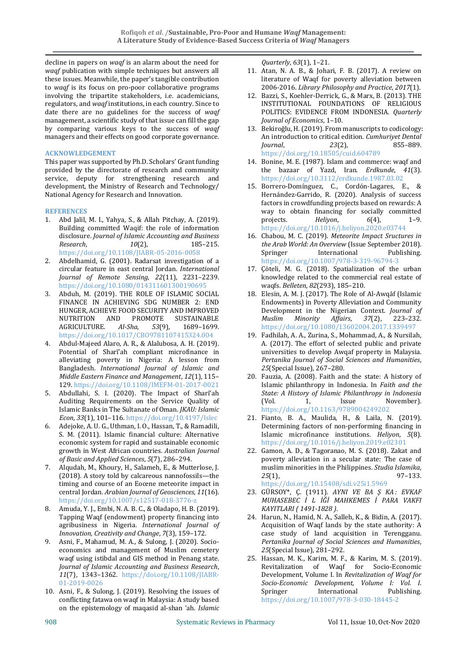decline in papers on *waqf* is an alarm about the need for *waqf* publication with simple techniques but answers all these issues. Meanwhile, the paper's tangible contribution to *waqf* is its focus on pro-poor collaborative programs involving the tripartite stakeholders, i.e. academicians, regulators, and *waqf* institutions, in each country. Since to date there are no guidelines for the success of *waqf* management, a scientific study of that issue can fill the gap by comparing various keys to the success of *waqf* managers and their effects on good corporate governance.

## **ACKNOWLEDGEMENT**

This paper was supported by Ph.D. Scholars' Grant funding provided by the directorate of research and community service, deputy for strengthening research and development, the Ministry of Research and Technology/ National Agency for Research and Innovation.

## **REFERENCES**

- 1. Abd Jalil, M. I., Yahya, S., & Allah Pitchay, A. (2019). Building committed Waqif: the role of information disclosure. *Journal of Islamic Accounting and Business Research*, *10*(2), 185–215. https://doi.org/10.1108/JIABR-05-2016-0058
- 2. Abdelhamid, G. (2001). Radarsat investigation of a circular feature in east central Jordan. *International Journal of Remote Sensing*, *22*(11), 2231–2239. https://doi.org/10.1080/014311601300190695
- 3. Abduh, M. (2019). THE ROLE OF ISLAMIC SOCIAL FINANCE IN ACHIEVING SDG NUMBER 2: END HUNGER, ACHIEVE FOOD SECURITY AND IMPROVED NUTRITION AND PROMOTE SUSTAINABLE AGRICULTURE. *Al-Sha*, *53*(9), 1689–1699. https://doi.org/10.1017/CBO9781107415324.004
- 4. Abdul-Majeed Alaro, A. R., & Alalubosa, A. H. (2019). Potential of Sharī'ah compliant microfinance in alleviating poverty in Nigeria: A lesson from Bangladesh. *International Journal of Islamic and Middle Eastern Finance and Management*, *12*(1), 115– 129. https://doi.org/10.1108/IMEFM-01-2017-0021
- 5. Abdullahi, S. I. (2020). The Impact of Sharīʿah Auditing Requirements on the Service Quality of Islamic Banks in The Sultanate of Oman. *JKAU: Islamic Econ*, *33*(1), 101–116. https://doi.org/10.4197/Islec
- 6. Adejoke, A. U. G., Uthman, I. O., Hassan, T., & Ramadili, S. M. (2011). Islamic financial culture: Alternative economic system for rapid and sustainable economic growth in West African countries. *Australian Journal of Basic and Applied Sciences*, *5*(7), 286–294.
- 7. Alqudah, M., Khoury, H., Salameh, E., & Mutterlose, J. (2018). A story told by calcareous nannofossils—the timing and course of an Eocene meteorite impact in central Jordan. *Arabian Journal of Geosciences*, *11*(16). https://doi.org/10.1007/s12517-018-3776-z
- 8. Amuda, Y. J., Embi, N. A. B. C., & Oladapo, H. B. (2019). Tapping Waqf (endowment) property financing into agribusiness in Nigeria. *International Journal of Innovation, Creativity and Change*, *7*(3), 159–172.
- 9. Asni, F., Mahamud, M. A., & Sulong, J. (2020). Socioeconomics and management of Muslim cemetery waqf using istibdal and GIS method in Penang state. *Journal of Islamic Accounting and Business Research*, *11*(7), 1343–1362. https://doi.org/10.1108/JIABR-01-2019-0026
- 10. Asni, F., & Sulong, J. (2019). Resolving the issues of conflicting fatawa on waqf in Malaysia: A study based on the epistemology of maqasid al-shan 'ah. *Islamic*

*Quarterly*, *63*(1), 1–21.

- 11. Atan, N. A. B., & Johari, F. B. (2017). A review on literature of Waqf for poverty alleviation between 2006-2016. *Library Philosophy and Practice*, *2017*(1).
- 12. Bazzi, S., Koehler-Derrick, G., & Marx, B. (2013). THE INSTITUTIONAL FOUNDATIONS OF RELIGIOUS POLITICS: EVIDENCE FROM INDONESIA. *Quarterly Journal of Economics*, 1–10.
- 13. Bekiroğlu, H. (2019). From manuscripts to codicology: An introduction to critical edition. *Cumhuriyet Dental Journal*, *23*(2), 855–889. https://doi.org/10.18505/cuid.604789
- 14. Bonine, M. E. (1987). Islam and commerce: waqf and the bazaar of Yazd, Iran. *Erdkunde*, *41*(3). https://doi.org/10.3112/erdkunde.1987.03.02
- 15. Borrero-Domínguez, C., Cordón-Lagares, E., & Hernández-Garrido, R. (2020). Analysis of success factors in crowdfunding projects based on rewards: A way to obtain financing for socially committed projects. *Heliyon*, *6*(4), 1–9. https://doi.org/10.1016/j.heliyon.2020.e03744
- 16. Chabou, M. C. (2019). *Meteorite Impact Sructures in the Arab World: An Overview* (Issue September 2018). Springer International Publishing. https://doi.org/10.1007/978-3-319-96794-3
- 17. Çöteli, M. G. (2018). Spatialization of the urban knowledge related to the commercial real estate of waqfs. *Belleten*, *82*(293), 185–210.
- 18. Elesin, A. M. J. (2017). The Role of Al-Awqāf (Islamic Endowments) in Poverty Alleviation and Community Development in the Nigerian Context. *Journal of Muslim Minority Affairs*, *37*(2), 223–232. https://doi.org/10.1080/13602004.2017.1339497
- 19. Fadhilah, A. A., Zurina, S., Mohammad, A., & Nursilah, A. (2017). The effort of selected public and private universities to develop Awqaf property in Malaysia. *Pertanika Journal of Social Sciences and Humanities*, *25*(Special Issue), 267–280.
- 20. Fauzia, A. (2008). Faith and the state: A history of Islamic philanthropy in Indonesia. In *Faith and the State: A History of Islamic Philanthropy in Indonesia* (Vol. 1, Issue November). https://doi.org/10.1163/9789004249202
- 21. Fianto, B. A., Maulida, H., & Laila, N. (2019). Determining factors of non-performing financing in Islamic microfinance institutions. *Heliyon*, *5*(8). https://doi.org/10.1016/j.heliyon.2019.e02301
- 22. Gamon, A. D., & Tagoranao, M. S. (2018). Zakat and poverty alleviation in a secular state: The case of muslim minorities in the Philippines. *Studia Islamika*, *25*(1), 97–133. https://doi.org/10.15408/sdi.v25i1.5969
- 23. GÜRSOY\*, Ç. (1911). *AYNI VE BA Ş KA : EVKAF MUHASEBEC İ L İĞİ MAHKEMES İ PARA VAKFI KAYITLARI ( 1491-1828 )*.
- 24. Harun, N., Hamid, N. A., Salleh, K., & Bidin, A. (2017). Acquisition of Waqf lands by the state authority: A case study of land acquisition in Terengganu. *Pertanika Journal of Social Sciences and Humanities*, *25*(Special Issue), 281–292.
- 25. Hassan, M. K., Karim, M. F., & Karim, M. S. (2019). Revitalization of Waqf for Socio-Economic Development, Volume I. In *Revitalization of Waqf for Socio-Economic Development, Volume I: Vol. I*. Springer International Publishing. https://doi.org/10.1007/978-3-030-18445-2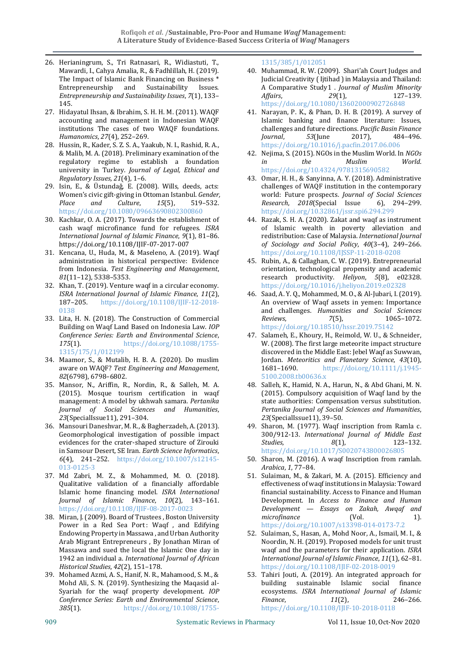- 26. Herianingrum, S., Tri Ratnasari, R., Widiastuti, T., Mawardi, I., Cahya Amalia, R., & Fadhlillah, H. (2019). The Impact of Islamic Bank Financing on Business \* Entrepreneurship and Sustainability Issues. *Entrepreneurship and Sustainability Issues*, *7*(1), 133– 145.
- 27. Hidayatul Ihsan, & Ibrahim, S. H. H. M. (2011). WAQF accounting and management in Indonesian WAQF institutions The cases of two WAQF foundations. *Humanomics*, *27*(4), 252–269.
- 28. Hussin, R., Kader, S. Z. S. A., Yaakub, N. I., Rashid, R. A., & Malib, M. A. (2018). Preliminary examination of the regulatory regime to establish a foundation university in Turkey. *Journal of Legal, Ethical and Regulatory Issues*, *21*(4), 1–6.
- 29. Isin, E., & Üstundaǧ, E. (2008). Wills, deeds, acts: Women's civic gift-giving in Ottoman Istanbul. *Gender, Place and Culture*, *15*(5), 519–532. https://doi.org/10.1080/09663690802300860
- 30. Kachkar, O. A. (2017). Towards the establishment of cash waqf microfinance fund for refugees. *ISRA International Journal of Islamic Finance*, *9*(1), 81–86. https://doi.org/10.1108/IJIF-07-2017-007
- 31. Kencana, U., Huda, M., & Maseleno, A. (2019). Waqf administration in historical perspective: Evidence from Indonesia. *Test Engineering and Management*, *81*(11–12), 5338–5353.
- 32. Khan, T. (2019). Venture waqf in a circular economy. *ISRA International Journal of Islamic Finance*, *11*(2), 187–205. https://doi.org/10.1108/IJIF-12-2018- 0138
- 33. Lita, H. N. (2018). The Construction of Commercial Building on Waqf Land Based on Indonesia Law. *IOP Conference Series: Earth and Environmental Science*, *175*(1). https://doi.org/10.1088/1755- 1315/175/1/012199
- 34. Maamor, S., & Mutalib, H. B. A. (2020). Do muslim aware on WAQF? *Test Engineering and Management*, *82*(6798), 6798–6802.
- 35. Mansor, N., Ariffin, R., Nordin, R., & Salleh, M. A. (2015). Mosque tourism certification in waqf management: A model by ukhwah samara. *Pertanika Journal of Social Sciences and Humanities*, *23*(SpecialIssue11), 291–304.
- 36. Mansouri Daneshvar, M. R., & Bagherzadeh, A. (2013). Geomorphological investigation of possible impact evidences for the crater-shaped structure of Zirouki in Samsour Desert, SE Iran. *Earth Science Informatics*, *6*(4), 241–252. https://doi.org/10.1007/s12145- 013-0125-3
- 37. Md Zabri, M. Z., & Mohammed, M. O. (2018). Qualitative validation of a financially affordable Islamic home financing model. *ISRA International Journal of Islamic Finance*, *10*(2), 143–161. https://doi.org/10.1108/IJIF-08-2017-0023
- 38. Miran, J. (2009). Board of Trustees , Boston University Power in a Red Sea Port: Waqf, and Edifying Endowing Property in Massawa , and Urban Authority Arab Migrant Entrepreneurs , By Jonathan Miran of Massawa and sued the local the Islamic One day in 1942 an individual a. *International Journal of African Historical Studies*, *42*(2), 151–178.
- 39. Mohamed Azmi, A. S., Hanif, N. R., Mahamood, S. M., & Mohd Ali, S. N. (2019). Synthesizing the Maqasid al-Syariah for the waqf property development. *IOP Conference Series: Earth and Environmental Science*, *385*(1). https://doi.org/10.1088/1755-

# 1315/385/1/012051

- 40. Muhammad, R. W. (2009). Shari'ah Court Judges and Judicial Creativity ( Ijtihad ) in Malaysia and Thailand: A Comparative Study1 . *Journal of Muslim Minority Affairs*, *29*(1), 127–139. https://doi.org/10.1080/13602000902726848
- 41. Narayan, P. K., & Phan, D. H. B. (2019). A survey of Islamic banking and finance literature: Issues, challenges and future directions. *Pacific Basin Finance Journal*, *53*(June 2017), 484–496. https://doi.org/10.1016/j.pacfin.2017.06.006
- 42. Nejima, S. (2015). NGOs in the Muslim World. In *NGOs in the Muslim World*. https://doi.org/10.4324/9781315690582
- 43. Omar, H. H., & Sanyinna, A. Y. (2018). Administrative challenges of WAQF institution in the contemporary world: Future prospects. *Journal of Social Sciences Research*, *2018*(Special Issue 6), 294–299. https://doi.org/10.32861/jssr.spi6.294.299
- 44. Razak, S. H. A. (2020). Zakat and waqf as instrument of Islamic wealth in poverty alleviation and redistribution: Case of Malaysia. *International Journal of Sociology and Social Policy*, *40*(3–4), 249–266. https://doi.org/10.1108/IJSSP-11-2018-0208
- 45. Rubin, A., & Callaghan, C. W. (2019). Entrepreneurial orientation, technological propensity and academic research productivity. *Heliyon*, *5*(8), e02328. https://doi.org/10.1016/j.heliyon.2019.e02328
- 46. Saad, A. Y. Q., Mohammed, M. O., & Al-Jubari, I. (2019). An overview of Waqf assets in yemen: Importance and challenges. *Humanities and Social Sciences Reviews*, *7*(5), 1065–1072. https://doi.org/10.18510/hssr.2019.75142
- 47. Salameh, E., Khoury, H., Reimold, W. U., & Schneider, W. (2008). The first large meteorite impact structure discovered in the Middle East: Jebel Waqf as Suwwan, Jordan. *Meteoritics and Planetary Science*, *43*(10), 1681–1690. https://doi.org/10.1111/j.1945- 5100.2008.tb00636.x
- 48. Salleh, K., Hamid, N. A., Harun, N., & Abd Ghani, M. N. (2015). Compulsory acquisition of Waqf land by the state authorities: Compensation versus substitution. *Pertanika Journal of Social Sciences and Humanities*, *23*(SpecialIssue11), 39–50.
- 49. Sharon, M. (1977). Waqf inscription from Ramla c. 300/912-13. *International Journal of Middle East Studies*, *8*(1), 123–132. https://doi.org/10.1017/S0020743800026805
- 50. Sharon, M. (2016). A waqf Inscription from ramlah. *Arabica*, *1*, 77–84.
- 51. Sulaiman, M., & Zakari, M. A. (2015). Efficiency and effectiveness of waqf institutions in Malaysia: Toward financial sustainability. Access to Finance and Human Development. In *Access to Finance and Human Development — Essays on Zakah, Awqaf and microfinance* (Vol. 1). https://doi.org/10.1007/s13398-014-0173-7.2
- 52. Sulaiman, S., Hasan, A., Mohd Noor, A., Ismail, M. I., & Noordin, N. H. (2019). Proposed models for unit trust waqf and the parameters for their application. *ISRA International Journal of Islamic Finance*, *11*(1), 62–81. https://doi.org/10.1108/IJIF-02-2018-0019
- 53. Tahiri Jouti, A. (2019). An integrated approach for building sustainable Islamic social finance ecosystems. *ISRA International Journal of Islamic Finance*, *11*(2), 246–266. https://doi.org/10.1108/IJIF-10-2018-0118